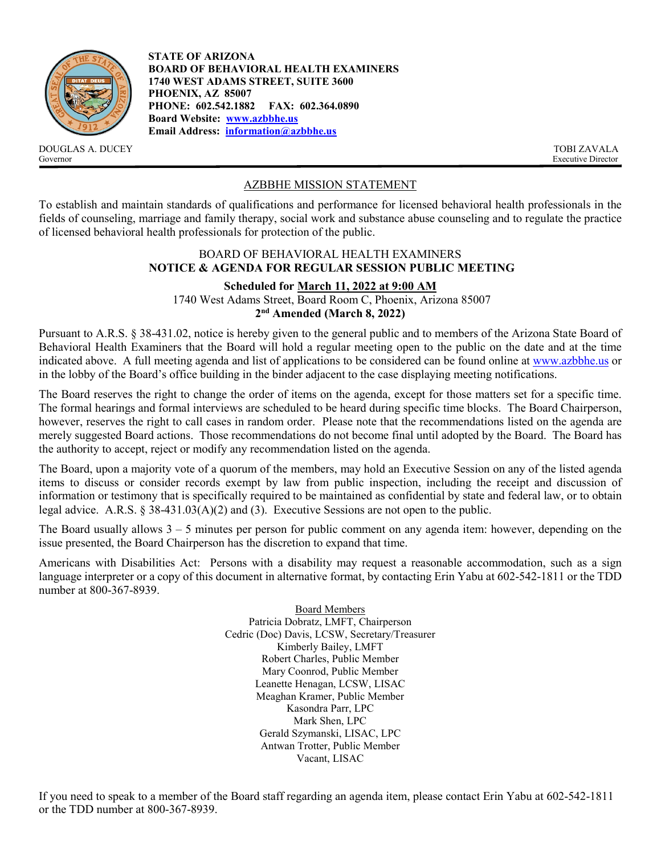

DOUGLAS A. DUCEY TOBI ZAVALA<br>Governor Executive Director Governor Executive Director

**STATE OF ARIZONA BOARD OF BEHAVIORAL HEALTH EXAMINERS 1740 WEST ADAMS STREET, SUITE 3600 PHOENIX, AZ 85007 PHONE: 602.542.1882 FAX: 602.364.0890 Board Website: [www.azbbhe.us](http://www.azbbhe.us/) Email Address: [information@azbbhe.us](mailto:information@azbbhe.us)**

# AZBBHE MISSION STATEMENT

To establish and maintain standards of qualifications and performance for licensed behavioral health professionals in the fields of counseling, marriage and family therapy, social work and substance abuse counseling and to regulate the practice of licensed behavioral health professionals for protection of the public.

### BOARD OF BEHAVIORAL HEALTH EXAMINERS **NOTICE & AGENDA FOR REGULAR SESSION PUBLIC MEETING**

#### **Scheduled for March 11, 2022 at 9:00 AM** 1740 West Adams Street, Board Room C, Phoenix, Arizona 85007 **2nd Amended (March 8, 2022)**

Pursuant to A.R.S. § 38-431.02, notice is hereby given to the general public and to members of the Arizona State Board of Behavioral Health Examiners that the Board will hold a regular meeting open to the public on the date and at the time indicated above. A full meeting agenda and list of applications to be considered can be found online at [www.azbbhe.us](http://www.azbbhe.us/) or in the lobby of the Board's office building in the binder adjacent to the case displaying meeting notifications.

The Board reserves the right to change the order of items on the agenda, except for those matters set for a specific time. The formal hearings and formal interviews are scheduled to be heard during specific time blocks. The Board Chairperson, however, reserves the right to call cases in random order. Please note that the recommendations listed on the agenda are merely suggested Board actions. Those recommendations do not become final until adopted by the Board. The Board has the authority to accept, reject or modify any recommendation listed on the agenda.

The Board, upon a majority vote of a quorum of the members, may hold an Executive Session on any of the listed agenda items to discuss or consider records exempt by law from public inspection, including the receipt and discussion of information or testimony that is specifically required to be maintained as confidential by state and federal law, or to obtain legal advice. A.R.S. § 38-431.03(A)(2) and (3). Executive Sessions are not open to the public.

The Board usually allows  $3 - 5$  minutes per person for public comment on any agenda item: however, depending on the issue presented, the Board Chairperson has the discretion to expand that time.

Americans with Disabilities Act: Persons with a disability may request a reasonable accommodation, such as a sign language interpreter or a copy of this document in alternative format, by contacting Erin Yabu at 602-542-1811 or the TDD number at 800-367-8939.

> Board Members Patricia Dobratz, LMFT, Chairperson Cedric (Doc) Davis, LCSW, Secretary/Treasurer Kimberly Bailey, LMFT Robert Charles, Public Member Mary Coonrod, Public Member Leanette Henagan, LCSW, LISAC Meaghan Kramer, Public Member Kasondra Parr, LPC Mark Shen, LPC Gerald Szymanski, LISAC, LPC Antwan Trotter, Public Member Vacant, LISAC

If you need to speak to a member of the Board staff regarding an agenda item, please contact Erin Yabu at 602-542-1811 or the TDD number at 800-367-8939.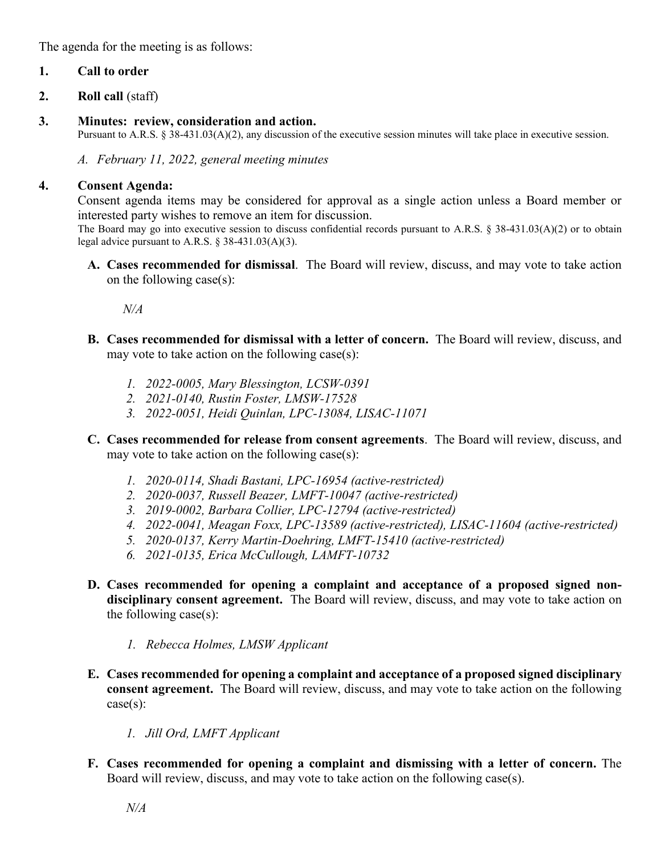The agenda for the meeting is as follows:

# **1. Call to order**

- **2. Roll call** (staff)
- **3. Minutes: review, consideration and action.**

Pursuant to A.R.S. § 38-431.03(A)(2), any discussion of the executive session minutes will take place in executive session.

*A. February 11, 2022, general meeting minutes* 

## **4. Consent Agenda:**

Consent agenda items may be considered for approval as a single action unless a Board member or interested party wishes to remove an item for discussion.

The Board may go into executive session to discuss confidential records pursuant to A.R.S. § 38-431.03(A)(2) or to obtain legal advice pursuant to A.R.S. § 38-431.03(A)(3).

**A. Cases recommended for dismissal**. The Board will review, discuss, and may vote to take action on the following case(s):

 *N/A*

- **B. Cases recommended for dismissal with a letter of concern.** The Board will review, discuss, and may vote to take action on the following case $(s)$ :
	- *1. 2022-0005, Mary Blessington, LCSW-0391*
	- *2. 2021-0140, Rustin Foster, LMSW-17528*
	- *3. 2022-0051, Heidi Quinlan, LPC-13084, LISAC-11071*
- **C. Cases recommended for release from consent agreements**. The Board will review, discuss, and may vote to take action on the following case(s):
	- *1. 2020-0114, Shadi Bastani, LPC-16954 (active-restricted)*
	- *2. 2020-0037, Russell Beazer, LMFT-10047 (active-restricted)*
	- *3. 2019-0002, Barbara Collier, LPC-12794 (active-restricted)*
	- *4. 2022-0041, Meagan Foxx, LPC-13589 (active-restricted), LISAC-11604 (active-restricted)*
	- *5. 2020-0137, Kerry Martin-Doehring, LMFT-15410 (active-restricted)*
	- *6. 2021-0135, Erica McCullough, LAMFT-10732*
- **D. Cases recommended for opening a complaint and acceptance of a proposed signed nondisciplinary consent agreement.** The Board will review, discuss, and may vote to take action on the following case(s):
	- *1. Rebecca Holmes, LMSW Applicant*
- **E. Cases recommended for opening a complaint and acceptance of a proposed signed disciplinary consent agreement.** The Board will review, discuss, and may vote to take action on the following case(s):
	- *1. Jill Ord, LMFT Applicant*
- **F. Cases recommended for opening a complaint and dismissing with a letter of concern.** The Board will review, discuss, and may vote to take action on the following case(s).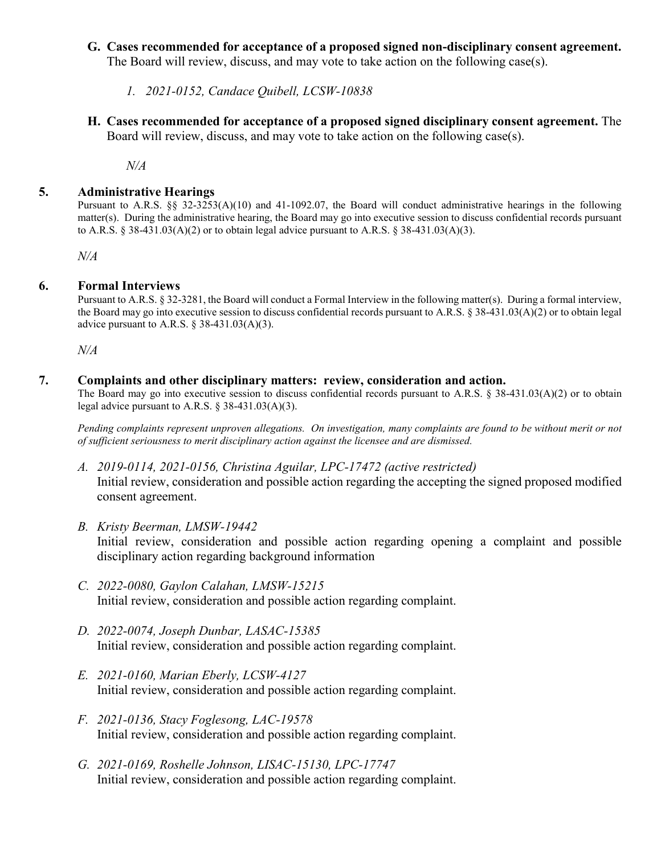#### **G. Cases recommended for acceptance of a proposed signed non-disciplinary consent agreement.**  The Board will review, discuss, and may vote to take action on the following case(s).

*1. 2021-0152, Candace Quibell, LCSW-10838*

**H. Cases recommended for acceptance of a proposed signed disciplinary consent agreement.** The Board will review, discuss, and may vote to take action on the following case(s).

*N/A*

### **5. Administrative Hearings**

Pursuant to A.R.S. §§ 32-3253(A)(10) and 41-1092.07, the Board will conduct administrative hearings in the following matter(s). During the administrative hearing, the Board may go into executive session to discuss confidential records pursuant to A.R.S. § 38-431.03(A)(2) or to obtain legal advice pursuant to A.R.S. § 38-431.03(A)(3).

*N/A*

### **6. Formal Interviews**

Pursuant to A.R.S. § 32-3281, the Board will conduct a Formal Interview in the following matter(s).During a formal interview, the Board may go into executive session to discuss confidential records pursuant to A.R.S. § 38-431.03(A)(2) or to obtain legal advice pursuant to A.R.S. § 38-431.03(A)(3).

 *N/A*

### **7. Complaints and other disciplinary matters: review, consideration and action.**

The Board may go into executive session to discuss confidential records pursuant to A.R.S. § 38-431.03(A)(2) or to obtain legal advice pursuant to A.R.S.  $\S$  38-431.03(A)(3).

*Pending complaints represent unproven allegations. On investigation, many complaints are found to be without merit or not of sufficient seriousness to merit disciplinary action against the licensee and are dismissed.*

- *A. 2019-0114, 2021-0156, Christina Aguilar, LPC-17472 (active restricted)* Initial review, consideration and possible action regarding the accepting the signed proposed modified consent agreement.
- *B. Kristy Beerman, LMSW-19442* Initial review, consideration and possible action regarding opening a complaint and possible disciplinary action regarding background information
- *C. 2022-0080, Gaylon Calahan, LMSW-15215* Initial review, consideration and possible action regarding complaint.
- *D. 2022-0074, Joseph Dunbar, LASAC-15385* Initial review, consideration and possible action regarding complaint.
- *E. 2021-0160, Marian Eberly, LCSW-4127* Initial review, consideration and possible action regarding complaint.
- *F. 2021-0136, Stacy Foglesong, LAC-19578* Initial review, consideration and possible action regarding complaint.
- *G. 2021-0169, Roshelle Johnson, LISAC-15130, LPC-17747* Initial review, consideration and possible action regarding complaint.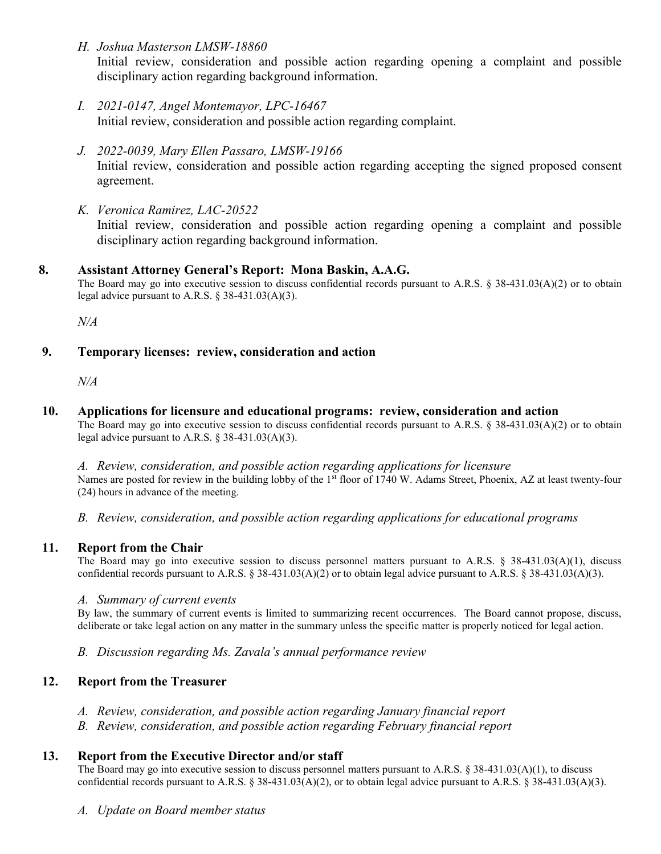*H. Joshua Masterson LMSW-18860*

Initial review, consideration and possible action regarding opening a complaint and possible disciplinary action regarding background information.

- *I. 2021-0147, Angel Montemayor, LPC-16467* Initial review, consideration and possible action regarding complaint.
- *J. 2022-0039, Mary Ellen Passaro, LMSW-19166* Initial review, consideration and possible action regarding accepting the signed proposed consent agreement.
- *K. Veronica Ramirez, LAC-20522* Initial review, consideration and possible action regarding opening a complaint and possible disciplinary action regarding background information.

## **8. Assistant Attorney General's Report: Mona Baskin, A.A.G.**

The Board may go into executive session to discuss confidential records pursuant to A.R.S. § 38-431.03(A)(2) or to obtain legal advice pursuant to A.R.S.  $\S$  38-431.03(A)(3).

*N/A*

# **9. Temporary licenses: review, consideration and action**

*N/A*

**10. Applications for licensure and educational programs: review, consideration and action**

The Board may go into executive session to discuss confidential records pursuant to A.R.S. § 38-431.03(A)(2) or to obtain legal advice pursuant to A.R.S. § 38-431.03(A)(3).

*A. Review, consideration, and possible action regarding applications for licensure* Names are posted for review in the building lobby of the 1<sup>st</sup> floor of 1740 W. Adams Street, Phoenix, AZ at least twenty-four (24) hours in advance of the meeting.

*B. Review, consideration, and possible action regarding applications for educational programs*

## **11. Report from the Chair**

The Board may go into executive session to discuss personnel matters pursuant to A.R.S. § 38-431.03(A)(1), discuss confidential records pursuant to A.R.S. § 38-431.03(A)(2) or to obtain legal advice pursuant to A.R.S. § 38-431.03(A)(3).

## *A. Summary of current events*

By law, the summary of current events is limited to summarizing recent occurrences. The Board cannot propose, discuss, deliberate or take legal action on any matter in the summary unless the specific matter is properly noticed for legal action.

*B. Discussion regarding Ms. Zavala's annual performance review*

# **12. Report from the Treasurer**

- *A. Review, consideration, and possible action regarding January financial report*
- *B. Review, consideration, and possible action regarding February financial report*

# **13. Report from the Executive Director and/or staff**

The Board may go into executive session to discuss personnel matters pursuant to A.R.S. § 38-431.03(A)(1), to discuss confidential records pursuant to A.R.S. § 38-431.03(A)(2), or to obtain legal advice pursuant to A.R.S. § 38-431.03(A)(3).

*A. Update on Board member status*